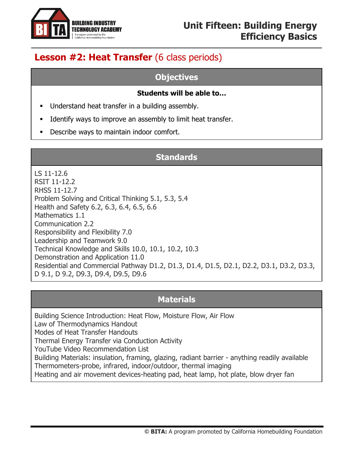

# **Lesson #2: Heat Transfer** (6 class periods)

#### **Objectives**

#### **Students will be able to…**

- **■** Understand heat transfer in a building assembly.
- Identify ways to improve an assembly to limit heat transfer.
- Describe ways to maintain indoor comfort.

## **Standards**

LS 11-12.6 RSIT 11-12.2 RHSS 11-12.7 Problem Solving and Critical Thinking 5.1, 5.3, 5.4 Health and Safety 6.2, 6.3, 6.4, 6.5, 6.6 Mathematics 1.1 Communication 2.2 Responsibility and Flexibility 7.0 Leadership and Teamwork 9.0 Technical Knowledge and Skills 10.0, 10.1, 10.2, 10.3 Demonstration and Application 11.0 Residential and Commercial Pathway D1.2, D1.3, D1.4, D1.5, D2.1, D2.2, D3.1, D3.2, D3.3, D 9.1, D 9.2, D9.3, D9.4, D9.5, D9.6

#### **Materials**

Building Science Introduction: Heat Flow, Moisture Flow, Air Flow Law of Thermodynamics Handout Modes of Heat Transfer Handouts Thermal Energy Transfer via Conduction Activity YouTube Video Recommendation List Building Materials: insulation, framing, glazing, radiant barrier - anything readily available Thermometers-probe, infrared, indoor/outdoor, thermal imaging Heating and air movement devices-heating pad, heat lamp, hot plate, blow dryer fan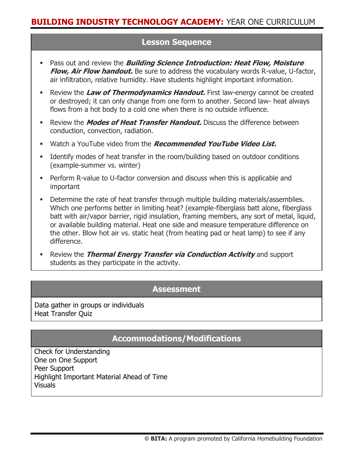## **Lesson Sequence**

- Pass out and review the **Building Science Introduction: Heat Flow, Moisture Flow, Air Flow handout.** Be sure to address the vocabulary words R-value, U-factor, air infiltration, relative humidity. Have students highlight important information.
- **EXECTE:** Review the Law of Thermodynamics Handout. First law-energy cannot be created or destroyed; it can only change from one form to another. Second law- heat always flows from a hot body to a cold one when there is no outside influence.
- **EXECTE:** Review the **Modes of Heat Transfer Handout.** Discuss the difference between conduction, convection, radiation.
- Watch a YouTube video from the **Recommended YouTube Video List.**
- **■** Identify modes of heat transfer in the room/building based on outdoor conditions (example-summer vs. winter)
- **•** Perform R-value to U-factor conversion and discuss when this is applicable and important
- Determine the rate of heat transfer through multiple building materials/assemblies. Which one performs better in limiting heat? (example-fiberglass batt alone, fiberglass batt with air/vapor barrier, rigid insulation, framing members, any sort of metal, liquid, or available building material. Heat one side and measure temperature difference on the other. Blow hot air vs. static heat (from heating pad or heat lamp) to see if any difference.
- **EXECT** Review the **Thermal Energy Transfer via Conduction Activity** and support students as they participate in the activity.

#### **Assessment**

Data gather in groups or individuals Heat Transfer Quiz

## **Accommodations/Modifications**

Check for Understanding One on One Support Peer Support Highlight Important Material Ahead of Time Visuals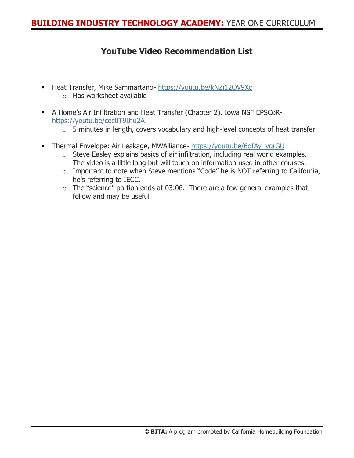## **YouTube Video Recommendation List**

- Heat Transfer, Mike Sammartano- <https://youtu.be/kNZi12OV9Xc>
	- o Has worksheet available
- **EXECT A Home's Air Infiltration and Heat Transfer (Chapter 2), Iowa NSF EPSCoR**<https://youtu.be/cec0T9Ihu2A>
	- $\circ$  5 minutes in length, covers vocabulary and high-level concepts of heat transfer
- **-** Thermal Envelope: Air Leakage, MWAlliance- [https://youtu.be/6oIAy\\_yqrGU](https://youtu.be/6oIAy_yqrGU)
	- o Steve Easley explains basics of air infiltration, including real world examples. The video is a little long but will touch on information used in other courses.
	- o Important to note when Steve mentions "Code" he is NOT referring to California, he's referring to IECC.
	- $\circ$  The "science" portion ends at 03:06. There are a few general examples that follow and may be useful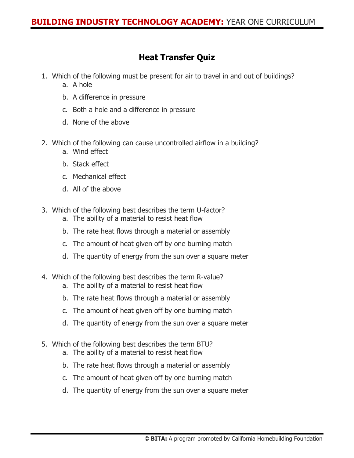# **Heat Transfer Quiz**

- 1. Which of the following must be present for air to travel in and out of buildings? a. A hole
	- b. A difference in pressure
	- c. Both a hole and a difference in pressure
	- d. None of the above
- 2. Which of the following can cause uncontrolled airflow in a building?
	- a. Wind effect
	- b. Stack effect
	- c. Mechanical effect
	- d. All of the above
- 3. Which of the following best describes the term U-factor?
	- a. The ability of a material to resist heat flow
	- b. The rate heat flows through a material or assembly
	- c. The amount of heat given off by one burning match
	- d. The quantity of energy from the sun over a square meter
- 4. Which of the following best describes the term R-value?
	- a. The ability of a material to resist heat flow
	- b. The rate heat flows through a material or assembly
	- c. The amount of heat given off by one burning match
	- d. The quantity of energy from the sun over a square meter
- 5. Which of the following best describes the term BTU?
	- a. The ability of a material to resist heat flow
	- b. The rate heat flows through a material or assembly
	- c. The amount of heat given off by one burning match
	- d. The quantity of energy from the sun over a square meter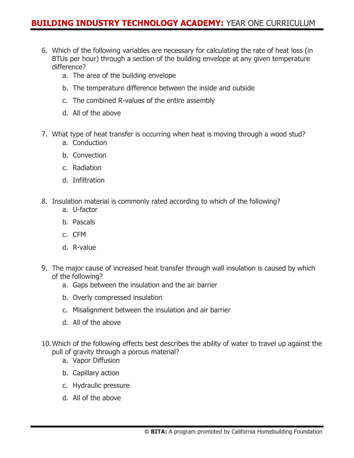## **BUILDING INDUSTRY TECHNOLOGY ACADEMY:** YEAR ONE CURRICULUM

- 6. Which of the following variables are necessary for calculating the rate of heat loss (in BTUs per hour) through a section of the building envelope at any given temperature difference?
	- a. The area of the building envelope
	- b. The temperature difference between the inside and outside
	- c. The combined R-values of the entire assembly
	- d. All of the above
- 7. What type of heat transfer is occurring when heat is moving through a wood stud?
	- a. Conduction
	- b. Convection
	- c. Radiation
	- d. Infiltration
- 8. Insulation material is commonly rated according to which of the following?
	- a. U-factor
	- b. Pascals
	- c. CFM
	- d. R-value
- 9. The major cause of increased heat transfer through wall insulation is caused by which of the following?
	- a. Gaps between the insulation and the air barrier
	- b. Overly compressed insulation
	- c. Misalignment between the insulation and air barrier
	- d. All of the above
- 10.Which of the following effects best describes the ability of water to travel up against the pull of gravity through a porous material?
	- a. Vapor Diffusion
	- b. Capillary action
	- c. Hydraulic pressure
	- d. All of the above